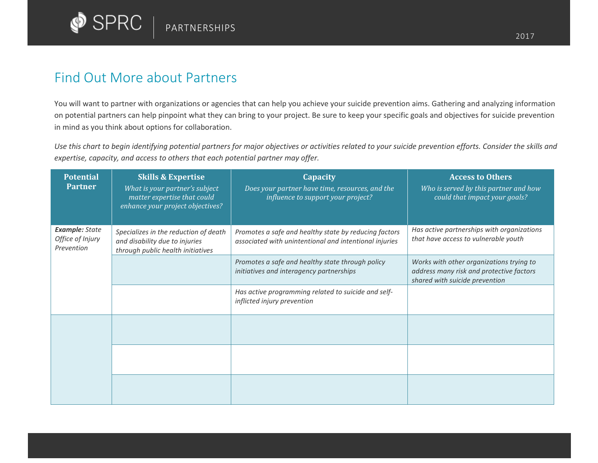

## Find Out More about Partners

You will want to partner with organizations or agencies that can help you achieve your suicide prevention aims. Gathering and analyzing information on potential partners can help pinpoint what they can bring to your project. Be sure to keep your specific goals and objectives for suicide prevention in mind as you think about options for collaboration.

*Use this chart to begin identifying potential partners for major objectives or activities related to your suicide prevention efforts. Consider the skills and expertise, capacity, and access to others that each potential partner may offer.*

| <b>Potential</b><br><b>Partner</b>                      | <b>Skills &amp; Expertise</b><br>What is your partner's subject<br>matter expertise that could<br>enhance your project objectives? | <b>Capacity</b><br>Does your partner have time, resources, and the<br>influence to support your project?        | <b>Access to Others</b><br>Who is served by this partner and how<br>could that impact your goals?                      |
|---------------------------------------------------------|------------------------------------------------------------------------------------------------------------------------------------|-----------------------------------------------------------------------------------------------------------------|------------------------------------------------------------------------------------------------------------------------|
| <b>Example: State</b><br>Office of Injury<br>Prevention | Specializes in the reduction of death<br>and disability due to injuries<br>through public health initiatives                       | Promotes a safe and healthy state by reducing factors<br>associated with unintentional and intentional injuries | Has active partnerships with organizations<br>that have access to vulnerable youth                                     |
|                                                         |                                                                                                                                    | Promotes a safe and healthy state through policy<br>initiatives and interagency partnerships                    | Works with other organizations trying to<br>address many risk and protective factors<br>shared with suicide prevention |
|                                                         |                                                                                                                                    | Has active programming related to suicide and self-<br>inflicted injury prevention                              |                                                                                                                        |
|                                                         |                                                                                                                                    |                                                                                                                 |                                                                                                                        |
|                                                         |                                                                                                                                    |                                                                                                                 |                                                                                                                        |
|                                                         |                                                                                                                                    |                                                                                                                 |                                                                                                                        |